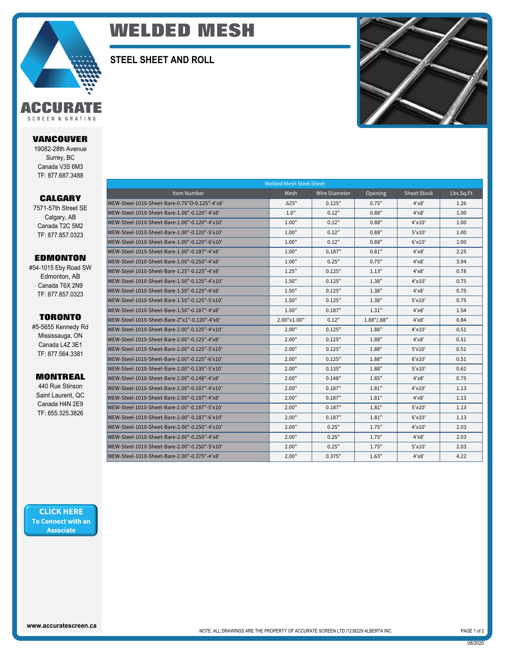

# **WELDED MESH**

**STEEL SHEET AND ROLL**



SCREEN & GRATING

**VANCOUVER**

19082-28th Avenue Surrey, BC Canada V3S 6M3 TF: 877.687.3488

### **CALGARY**

7571-57th Street SE Calgary, AB Canada T2C 5M2 TF: 877.857.0323

## **EDMONTON**

#54-1015 Eby Road SW Edmonton, AB Canada T6X 2N9 TF: 877.857.0323

#### **TORONTO**

#5-5655 Kennedy Rd Mississauga, ON Canada L4Z 3E1 TF: 877.564.3381

## **MONTREAL**

440 Rue Stinson Saint Laurent, QC Canada H4N 2E9 TF: 855.325.3826

| <b>Welded Mesh Steel Sheet</b>                |             |                      |            |              |           |  |  |  |  |
|-----------------------------------------------|-------------|----------------------|------------|--------------|-----------|--|--|--|--|
| Item Number                                   | Mesh        | <b>Wire Diameter</b> | Opening    | Sheet Stock  | Lbs.Sq.Ft |  |  |  |  |
| WEW-Steel-1010-Sheet-Bare-0.75"O-0.125"-4'x8' | .625"       | 0.125"               | 0.75"      | 4'x8'        | 1.26      |  |  |  |  |
| WEW-Steel-1010-Sheet-Bare-1.00"-0.120"-4'x8'  | 1.0"        | 0.12"                | 0.88"      | 4'x8'        | 1.00      |  |  |  |  |
| WEW-Steel-1010-Sheet-Bare-1.00"-0.120"-4'x10' | 1.00"       | 0.12"                | 0.88"      | 4'x10'       | 1.00      |  |  |  |  |
| WEW-Steel-1010-Sheet-Bare-1.00"-0.120"-5'x10' | 1.00"       | 0.12"                | 0.88"      | 5'x10'       | 1.00      |  |  |  |  |
| WEW-Steel-1010-Sheet-Bare-1.00"-0.120"-6'x10' | 1.00"       | 0.12"                | 0.88"      | 6'x10'       | 1.00      |  |  |  |  |
| WEW-Steel-1010-Sheet-Bare-1.00"-0.187"-4'x8'  | 1.00"       | 0.187"               | 0.81"      | 4'x8'        | 2.25      |  |  |  |  |
| WEW-Steel-1010-Sheet-Bare-1.00"-0.250"-4'x8'  | 1.00"       | 0.25"                | 0.75"      | 4'x8'        | 3.94      |  |  |  |  |
| WEW-Steel-1010-Sheet-Bare-1.25"-0.125"-4'x8'  | 1.25"       | 0.125"               | 1.13"      | 4'x8'        | 0.78      |  |  |  |  |
| WEW-Steel-1010-Sheet-Bare-1.50"-0.125"-4'x10' | 1.50"       | 0.125"               | 1.38"      | $4'$ x $10'$ | 0.75      |  |  |  |  |
| WEW-Steel-1010-Sheet-Bare-1.50"-0.125"-4'x8'  | 1.50"       | 0.125"               | 1.38"      | 4'x8'        | 0.75      |  |  |  |  |
| WEW-Steel-1010-Sheet-Bare-1.50"-0.125"-5'x10' | 1.50"       | 0.125"               | 1.38"      | 5'x10'       | 0.75      |  |  |  |  |
| WEW-Steel-1010-Sheet-Bare-1.50"-0.187"-4'x8'  | 1.50"       | 0.187"               | 1.31"      | 4'x8'        | 1.54      |  |  |  |  |
| WEW-Steel-1010-Sheet-Bare-2"x1"-0.120"-4'x8'  | 2.00"x1.00" | 0.12"                | 1.88"/.88" | 4'x8'        | 0.84      |  |  |  |  |
| WEW-Steel-1010-Sheet-Bare-2.00"-0.125"-4'x10' | 2.00"       | 0.125"               | 1.88"      | $4'$ x $10'$ | 0.51      |  |  |  |  |
| WEW-Steel-1010-Sheet-Bare-2.00"-0.125"-4'x8'  | 2.00"       | 0.125"               | 1.88"      | 4'x8'        | 0.51      |  |  |  |  |
| WEW-Steel-1010-Sheet-Bare-2.00"-0.125"-5'x10' | 2.00"       | 0.125"               | 1.88"      | $5'$ x $10'$ | 0.51      |  |  |  |  |
| WEW-Steel-1010-Sheet-Bare-2.00"-0.125"-6'x10' | 2.00"       | 0.125"               | 1.88"      | $6'$ x $10'$ | 0.51      |  |  |  |  |
| WEW-Steel-1010-Sheet-Bare-2.00"-0.135"-5'x10' | 2.00"       | 0.135"               | 1.88"      | 5'x10'       | 0.62      |  |  |  |  |
| WEW-Steel-1010-Sheet-Bare-2.00"-0.148"-4'x8'  | 2.00"       | 0.148"               | 1.85"      | 4'x8'        | 0.75      |  |  |  |  |
| WEW-Steel-1010-Sheet-Bare-2.00"-0.187"-4'x10' | 2.00"       | 0.187"               | 1.81"      | $4'$ x $10'$ | 1.13      |  |  |  |  |
| WEW-Steel-1010-Sheet-Bare-2.00"-0.187"-4'x8'  | 2.00"       | 0.187"               | 1.81"      | 4'x8'        | 1.13      |  |  |  |  |
| WEW-Steel-1010-Sheet-Bare-2.00"-0.187"-5'x10' | 2.00"       | 0.187"               | 1.81"      | $5'$ x $10'$ | 1.13      |  |  |  |  |
| WEW-Steel-1010-Sheet-Bare-2.00"-0.187"-6'x10' | 2.00"       | 0.187"               | 1.81"      | 6'x10'       | 1.13      |  |  |  |  |
| WEW-Steel-1010-Sheet-Bare-2.00"-0.250"-4'x10' | 2.00"       | 0.25"                | 1.75"      | $4'$ x $10'$ | 2.03      |  |  |  |  |
| WEW-Steel-1010-Sheet-Bare-2.00"-0.250"-4'x8'  | 2.00"       | 0.25"                | 1.75"      | 4'x8'        | 2.03      |  |  |  |  |
| WEW-Steel-1010-Sheet-Bare-2.00"-0.250"-5'x10' | 2.00"       | 0.25"                | 1.75"      | $5'$ x $10'$ | 2.03      |  |  |  |  |
| WEW-Steel-1010-Sheet-Bare-2.00"-0.375"-4'x8'  | 2.00"       | 0.375"               | 1.63"      | 4'x8'        | 4.22      |  |  |  |  |

**CLICK HERE** To Connect with an **Associate**